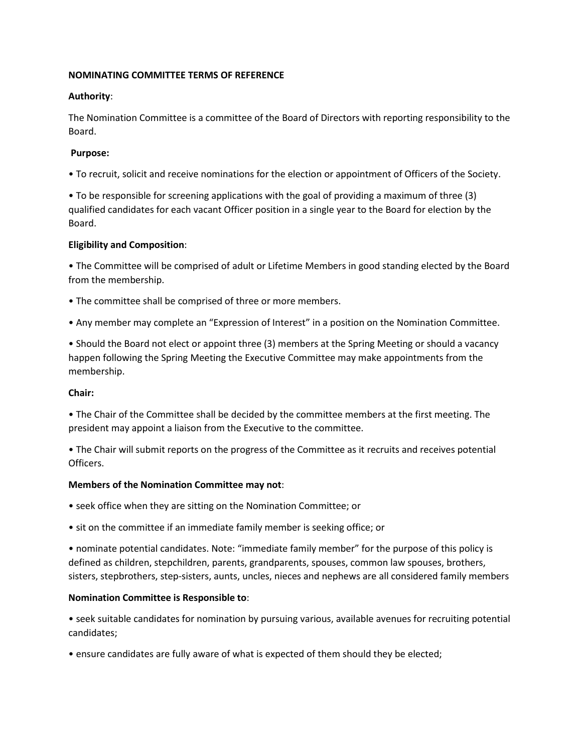### **NOMINATING COMMITTEE TERMS OF REFERENCE**

## **Authority**:

The Nomination Committee is a committee of the Board of Directors with reporting responsibility to the Board.

# **Purpose:**

• To recruit, solicit and receive nominations for the election or appointment of Officers of the Society.

• To be responsible for screening applications with the goal of providing a maximum of three (3) qualified candidates for each vacant Officer position in a single year to the Board for election by the Board.

## **Eligibility and Composition**:

• The Committee will be comprised of adult or Lifetime Members in good standing elected by the Board from the membership.

- The committee shall be comprised of three or more members.
- Any member may complete an "Expression of Interest" in a position on the Nomination Committee.

• Should the Board not elect or appoint three (3) members at the Spring Meeting or should a vacancy happen following the Spring Meeting the Executive Committee may make appointments from the membership.

#### **Chair:**

• The Chair of the Committee shall be decided by the committee members at the first meeting. The president may appoint a liaison from the Executive to the committee.

• The Chair will submit reports on the progress of the Committee as it recruits and receives potential Officers.

#### **Members of the Nomination Committee may not**:

- seek office when they are sitting on the Nomination Committee; or
- sit on the committee if an immediate family member is seeking office; or

• nominate potential candidates. Note: "immediate family member" for the purpose of this policy is defined as children, stepchildren, parents, grandparents, spouses, common law spouses, brothers, sisters, stepbrothers, step-sisters, aunts, uncles, nieces and nephews are all considered family members

#### **Nomination Committee is Responsible to**:

• seek suitable candidates for nomination by pursuing various, available avenues for recruiting potential candidates;

• ensure candidates are fully aware of what is expected of them should they be elected;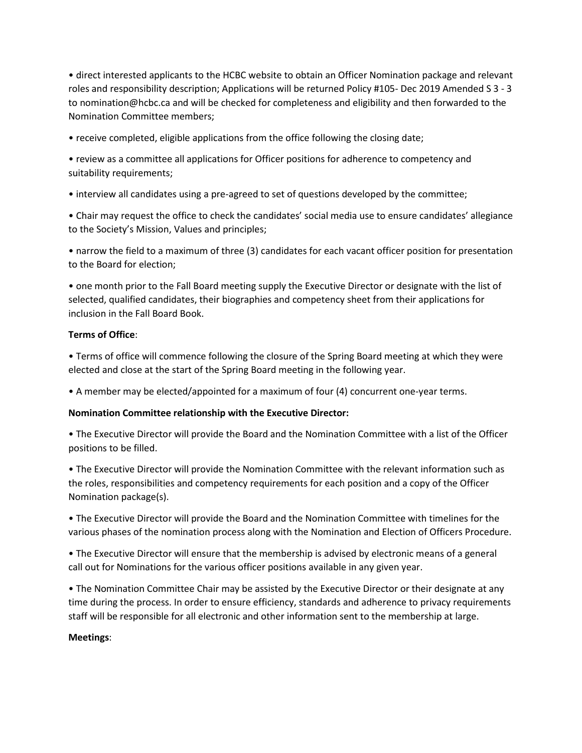• direct interested applicants to the HCBC website to obtain an Officer Nomination package and relevant roles and responsibility description; Applications will be returned Policy #105- Dec 2019 Amended S 3 - 3 to nomination@hcbc.ca and will be checked for completeness and eligibility and then forwarded to the Nomination Committee members;

• receive completed, eligible applications from the office following the closing date;

• review as a committee all applications for Officer positions for adherence to competency and suitability requirements;

• interview all candidates using a pre-agreed to set of questions developed by the committee;

• Chair may request the office to check the candidates' social media use to ensure candidates' allegiance to the Society's Mission, Values and principles;

• narrow the field to a maximum of three (3) candidates for each vacant officer position for presentation to the Board for election;

• one month prior to the Fall Board meeting supply the Executive Director or designate with the list of selected, qualified candidates, their biographies and competency sheet from their applications for inclusion in the Fall Board Book.

## **Terms of Office**:

• Terms of office will commence following the closure of the Spring Board meeting at which they were elected and close at the start of the Spring Board meeting in the following year.

• A member may be elected/appointed for a maximum of four (4) concurrent one-year terms.

#### **Nomination Committee relationship with the Executive Director:**

• The Executive Director will provide the Board and the Nomination Committee with a list of the Officer positions to be filled.

• The Executive Director will provide the Nomination Committee with the relevant information such as the roles, responsibilities and competency requirements for each position and a copy of the Officer Nomination package(s).

• The Executive Director will provide the Board and the Nomination Committee with timelines for the various phases of the nomination process along with the Nomination and Election of Officers Procedure.

• The Executive Director will ensure that the membership is advised by electronic means of a general call out for Nominations for the various officer positions available in any given year.

• The Nomination Committee Chair may be assisted by the Executive Director or their designate at any time during the process. In order to ensure efficiency, standards and adherence to privacy requirements staff will be responsible for all electronic and other information sent to the membership at large.

#### **Meetings**: